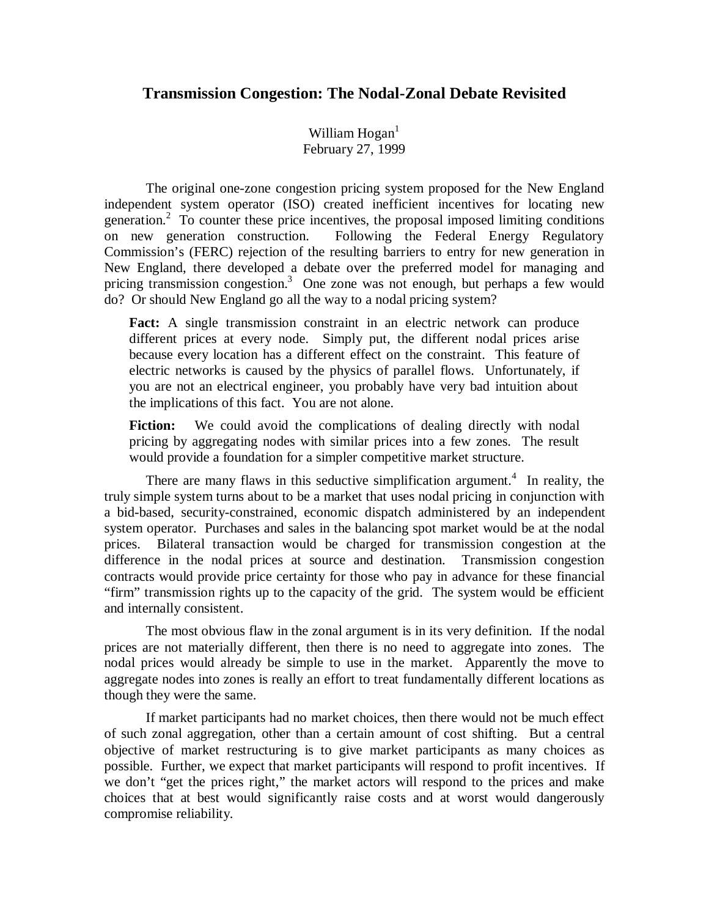## **Transmission Congestion: The Nodal-Zonal Debate Revisited**

William  $Hogan<sup>1</sup>$ February 27, 1999

The original one-zone congestion pricing system proposed for the New England independent system operator (ISO) created inefficient incentives for locating new generation.<sup>2</sup> To counter these price incentives, the proposal imposed limiting conditions on new generation construction. Following the Federal Energy Regulatory Commission's (FERC) rejection of the resulting barriers to entry for new generation in New England, there developed a debate over the preferred model for managing and pricing transmission congestion.<sup>3</sup> One zone was not enough, but perhaps a few would do? Or should New England go all the way to a nodal pricing system?

**Fact:** A single transmission constraint in an electric network can produce different prices at every node. Simply put, the different nodal prices arise because every location has a different effect on the constraint. This feature of electric networks is caused by the physics of parallel flows. Unfortunately, if you are not an electrical engineer, you probably have very bad intuition about the implications of this fact. You are not alone.

**Fiction:** We could avoid the complications of dealing directly with nodal pricing by aggregating nodes with similar prices into a few zones. The result would provide a foundation for a simpler competitive market structure.

There are many flaws in this seductive simplification argument.<sup>4</sup> In reality, the truly simple system turns about to be a market that uses nodal pricing in conjunction with a bid-based, security-constrained, economic dispatch administered by an independent system operator. Purchases and sales in the balancing spot market would be at the nodal prices. Bilateral transaction would be charged for transmission congestion at the difference in the nodal prices at source and destination. Transmission congestion contracts would provide price certainty for those who pay in advance for these financial "firm" transmission rights up to the capacity of the grid. The system would be efficient and internally consistent.

The most obvious flaw in the zonal argument is in its very definition. If the nodal prices are not materially different, then there is no need to aggregate into zones. The nodal prices would already be simple to use in the market. Apparently the move to aggregate nodes into zones is really an effort to treat fundamentally different locations as though they were the same.

If market participants had no market choices, then there would not be much effect of such zonal aggregation, other than a certain amount of cost shifting. But a central objective of market restructuring is to give market participants as many choices as possible. Further, we expect that market participants will respond to profit incentives. If we don't "get the prices right," the market actors will respond to the prices and make choices that at best would significantly raise costs and at worst would dangerously compromise reliability.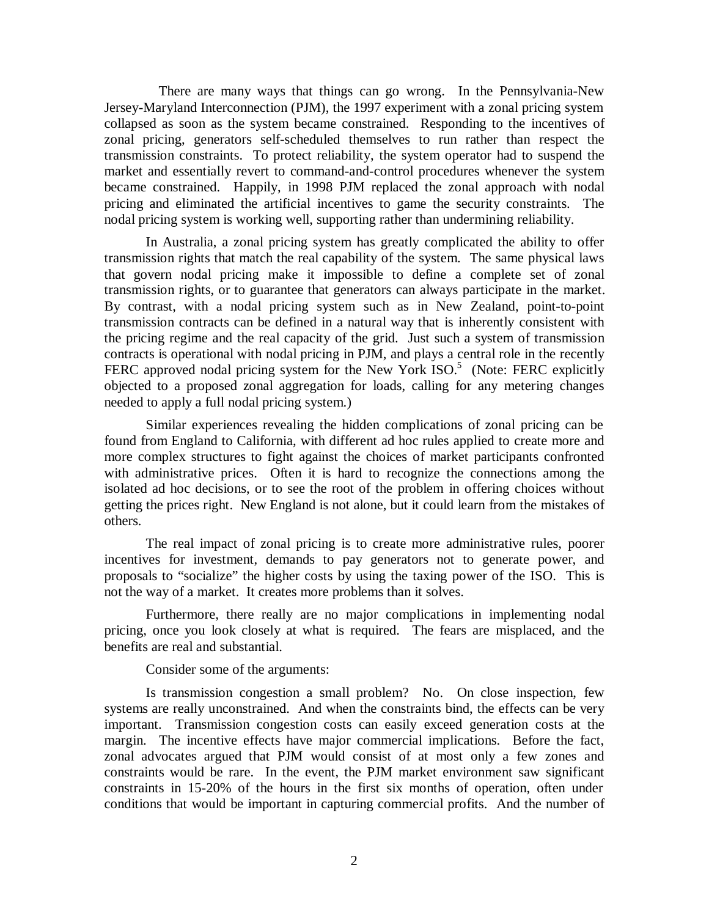There are many ways that things can go wrong. In the Pennsylvania-New Jersey-Maryland Interconnection (PJM), the 1997 experiment with a zonal pricing system collapsed as soon as the system became constrained. Responding to the incentives of zonal pricing, generators self-scheduled themselves to run rather than respect the transmission constraints. To protect reliability, the system operator had to suspend the market and essentially revert to command-and-control procedures whenever the system became constrained. Happily, in 1998 PJM replaced the zonal approach with nodal pricing and eliminated the artificial incentives to game the security constraints. The nodal pricing system is working well, supporting rather than undermining reliability.

In Australia, a zonal pricing system has greatly complicated the ability to offer transmission rights that match the real capability of the system. The same physical laws that govern nodal pricing make it impossible to define a complete set of zonal transmission rights, or to guarantee that generators can always participate in the market. By contrast, with a nodal pricing system such as in New Zealand, point-to-point transmission contracts can be defined in a natural way that is inherently consistent with the pricing regime and the real capacity of the grid. Just such a system of transmission contracts is operational with nodal pricing in PJM, and plays a central role in the recently FERC approved nodal pricing system for the New York ISO.<sup>5</sup> (Note: FERC explicitly objected to a proposed zonal aggregation for loads, calling for any metering changes needed to apply a full nodal pricing system.)

Similar experiences revealing the hidden complications of zonal pricing can be found from England to California, with different ad hoc rules applied to create more and more complex structures to fight against the choices of market participants confronted with administrative prices. Often it is hard to recognize the connections among the isolated ad hoc decisions, or to see the root of the problem in offering choices without getting the prices right. New England is not alone, but it could learn from the mistakes of others.

 The real impact of zonal pricing is to create more administrative rules, poorer incentives for investment, demands to pay generators not to generate power, and proposals to "socialize" the higher costs by using the taxing power of the ISO. This is not the way of a market. It creates more problems than it solves.

 Furthermore, there really are no major complications in implementing nodal pricing, once you look closely at what is required. The fears are misplaced, and the benefits are real and substantial.

Consider some of the arguments:

Is transmission congestion a small problem? No. On close inspection, few systems are really unconstrained. And when the constraints bind, the effects can be very important. Transmission congestion costs can easily exceed generation costs at the margin. The incentive effects have major commercial implications. Before the fact, zonal advocates argued that PJM would consist of at most only a few zones and constraints would be rare. In the event, the PJM market environment saw significant constraints in 15-20% of the hours in the first six months of operation, often under conditions that would be important in capturing commercial profits. And the number of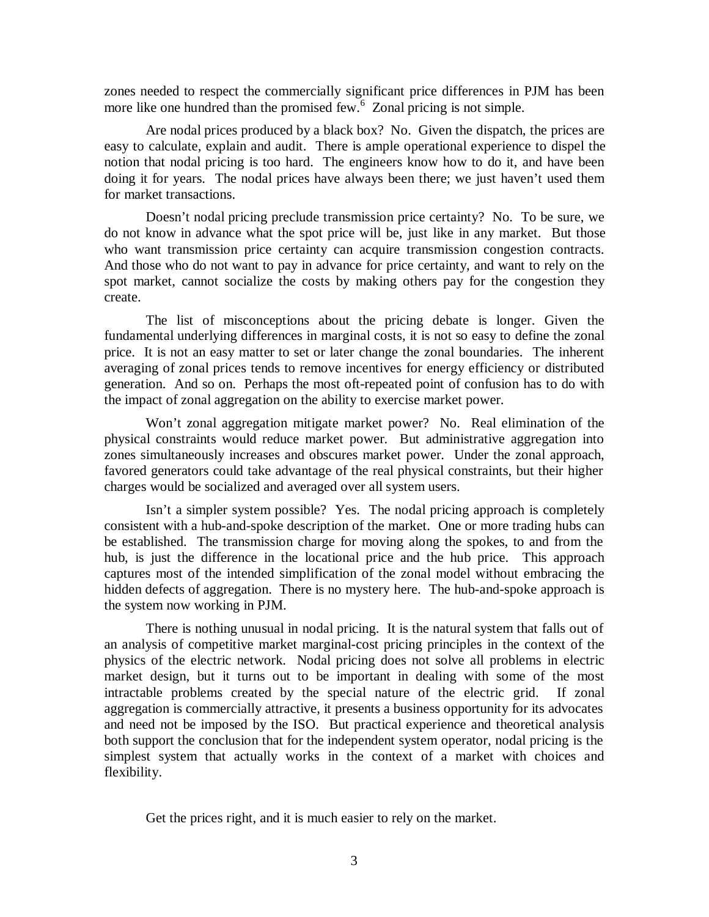zones needed to respect the commercially significant price differences in PJM has been more like one hundred than the promised few.<sup>6</sup> Zonal pricing is not simple.

Are nodal prices produced by a black box? No. Given the dispatch, the prices are easy to calculate, explain and audit. There is ample operational experience to dispel the notion that nodal pricing is too hard. The engineers know how to do it, and have been doing it for years. The nodal prices have always been there; we just haven't used them for market transactions.

Doesn't nodal pricing preclude transmission price certainty? No. To be sure, we do not know in advance what the spot price will be, just like in any market. But those who want transmission price certainty can acquire transmission congestion contracts. And those who do not want to pay in advance for price certainty, and want to rely on the spot market, cannot socialize the costs by making others pay for the congestion they create.

The list of misconceptions about the pricing debate is longer. Given the fundamental underlying differences in marginal costs, it is not so easy to define the zonal price. It is not an easy matter to set or later change the zonal boundaries. The inherent averaging of zonal prices tends to remove incentives for energy efficiency or distributed generation. And so on. Perhaps the most oft-repeated point of confusion has to do with the impact of zonal aggregation on the ability to exercise market power.

Won't zonal aggregation mitigate market power? No. Real elimination of the physical constraints would reduce market power. But administrative aggregation into zones simultaneously increases and obscures market power. Under the zonal approach, favored generators could take advantage of the real physical constraints, but their higher charges would be socialized and averaged over all system users.

Isn't a simpler system possible? Yes. The nodal pricing approach is completely consistent with a hub-and-spoke description of the market. One or more trading hubs can be established. The transmission charge for moving along the spokes, to and from the hub, is just the difference in the locational price and the hub price. This approach captures most of the intended simplification of the zonal model without embracing the hidden defects of aggregation. There is no mystery here. The hub-and-spoke approach is the system now working in PJM.

There is nothing unusual in nodal pricing. It is the natural system that falls out of an analysis of competitive market marginal-cost pricing principles in the context of the physics of the electric network. Nodal pricing does not solve all problems in electric market design, but it turns out to be important in dealing with some of the most intractable problems created by the special nature of the electric grid. If zonal aggregation is commercially attractive, it presents a business opportunity for its advocates and need not be imposed by the ISO. But practical experience and theoretical analysis both support the conclusion that for the independent system operator, nodal pricing is the simplest system that actually works in the context of a market with choices and flexibility.

Get the prices right, and it is much easier to rely on the market.